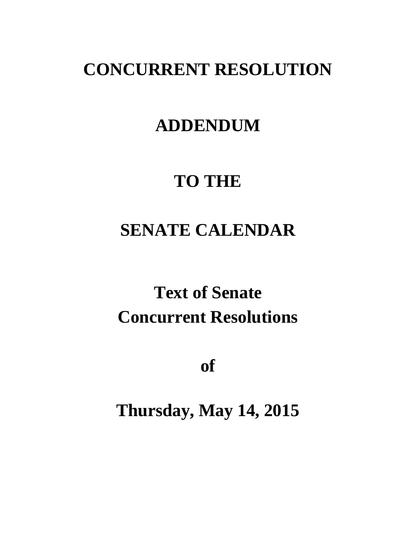# **CONCURRENT RESOLUTION**

## **ADDENDUM**

## **TO THE**

# **SENATE CALENDAR**

# **Text of Senate Concurrent Resolutions**

**of**

**Thursday, May 14, 2015**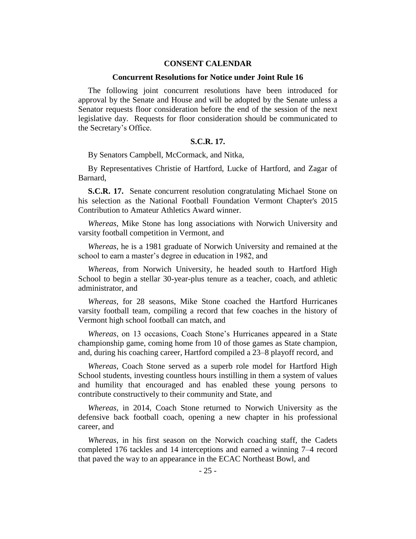### **CONSENT CALENDAR**

#### **Concurrent Resolutions for Notice under Joint Rule 16**

The following joint concurrent resolutions have been introduced for approval by the Senate and House and will be adopted by the Senate unless a Senator requests floor consideration before the end of the session of the next legislative day. Requests for floor consideration should be communicated to the Secretary's Office.

## **S.C.R. 17.**

By Senators Campbell, McCormack, and Nitka,

By Representatives Christie of Hartford, Lucke of Hartford, and Zagar of Barnard,

**S.C.R. 17.** Senate concurrent resolution congratulating Michael Stone on his selection as the National Football Foundation Vermont Chapter's 2015 Contribution to Amateur Athletics Award winner.

*Whereas*, Mike Stone has long associations with Norwich University and varsity football competition in Vermont, and

*Whereas*, he is a 1981 graduate of Norwich University and remained at the school to earn a master's degree in education in 1982, and

*Whereas*, from Norwich University, he headed south to Hartford High School to begin a stellar 30-year-plus tenure as a teacher, coach, and athletic administrator, and

*Whereas*, for 28 seasons, Mike Stone coached the Hartford Hurricanes varsity football team, compiling a record that few coaches in the history of Vermont high school football can match, and

*Whereas*, on 13 occasions, Coach Stone's Hurricanes appeared in a State championship game, coming home from 10 of those games as State champion, and, during his coaching career, Hartford compiled a 23–8 playoff record, and

*Whereas*, Coach Stone served as a superb role model for Hartford High School students, investing countless hours instilling in them a system of values and humility that encouraged and has enabled these young persons to contribute constructively to their community and State, and

*Whereas*, in 2014, Coach Stone returned to Norwich University as the defensive back football coach, opening a new chapter in his professional career, and

*Whereas*, in his first season on the Norwich coaching staff, the Cadets completed 176 tackles and 14 interceptions and earned a winning 7–4 record that paved the way to an appearance in the ECAC Northeast Bowl, and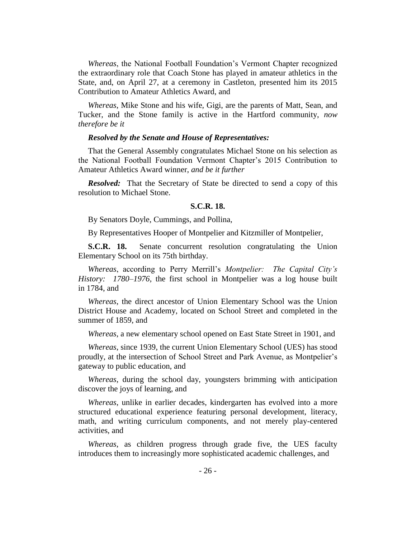*Whereas*, the National Football Foundation's Vermont Chapter recognized the extraordinary role that Coach Stone has played in amateur athletics in the State, and, on April 27, at a ceremony in Castleton, presented him its 2015 Contribution to Amateur Athletics Award, and

*Whereas*, Mike Stone and his wife, Gigi, are the parents of Matt, Sean, and Tucker, and the Stone family is active in the Hartford community, *now therefore be it* 

#### *Resolved by the Senate and House of Representatives:*

That the General Assembly congratulates Michael Stone on his selection as the National Football Foundation Vermont Chapter's 2015 Contribution to Amateur Athletics Award winner, *and be it further* 

*Resolved:* That the Secretary of State be directed to send a copy of this resolution to Michael Stone.

## **S.C.R. 18.**

By Senators Doyle, Cummings, and Pollina,

By Representatives Hooper of Montpelier and Kitzmiller of Montpelier,

**S.C.R. 18.** Senate concurrent resolution congratulating the Union Elementary School on its 75th birthday.

*Whereas*, according to Perry Merrill's *Montpelier: The Capital City's History: 1780–1976,* the first school in Montpelier was a log house built in 1784, and

*Whereas*, the direct ancestor of Union Elementary School was the Union District House and Academy, located on School Street and completed in the summer of 1859, and

*Whereas*, a new elementary school opened on East State Street in 1901, and

*Whereas*, since 1939, the current Union Elementary School (UES) has stood proudly, at the intersection of School Street and Park Avenue, as Montpelier's gateway to public education, and

*Whereas*, during the school day, youngsters brimming with anticipation discover the joys of learning, and

*Whereas*, unlike in earlier decades, kindergarten has evolved into a more structured educational experience featuring personal development, literacy, math, and writing curriculum components, and not merely play-centered activities, and

*Whereas*, as children progress through grade five, the UES faculty introduces them to increasingly more sophisticated academic challenges, and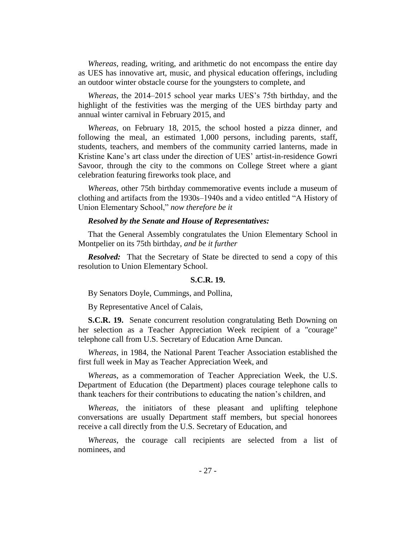*Whereas*, reading, writing, and arithmetic do not encompass the entire day as UES has innovative art, music, and physical education offerings, including an outdoor winter obstacle course for the youngsters to complete, and

*Whereas*, the 2014–2015 school year marks UES's 75th birthday, and the highlight of the festivities was the merging of the UES birthday party and annual winter carnival in February 2015, and

*Whereas*, on February 18, 2015, the school hosted a pizza dinner, and following the meal, an estimated 1,000 persons, including parents, staff, students, teachers, and members of the community carried lanterns, made in Kristine Kane's art class under the direction of UES' artist-in-residence Gowri Savoor, through the city to the commons on College Street where a giant celebration featuring fireworks took place, and

*Whereas*, other 75th birthday commemorative events include a museum of clothing and artifacts from the 1930s–1940s and a video entitled "A History of Union Elementary School," *now therefore be it*

#### *Resolved by the Senate and House of Representatives:*

That the General Assembly congratulates the Union Elementary School in Montpelier on its 75th birthday, *and be it further* 

*Resolved:* That the Secretary of State be directed to send a copy of this resolution to Union Elementary School.

#### **S.C.R. 19.**

By Senators Doyle, Cummings, and Pollina,

By Representative Ancel of Calais,

**S.C.R. 19.** Senate concurrent resolution congratulating Beth Downing on her selection as a Teacher Appreciation Week recipient of a "courage" telephone call from U.S. Secretary of Education Arne Duncan.

*Whereas*, in 1984, the National Parent Teacher Association established the first full week in May as Teacher Appreciation Week, and

*Wherea*s, as a commemoration of Teacher Appreciation Week, the U.S. Department of Education (the Department) places courage telephone calls to thank teachers for their contributions to educating the nation's children, and

*Whereas*, the initiators of these pleasant and uplifting telephone conversations are usually Department staff members, but special honorees receive a call directly from the U.S. Secretary of Education, and

*Whereas*, the courage call recipients are selected from a list of nominees, and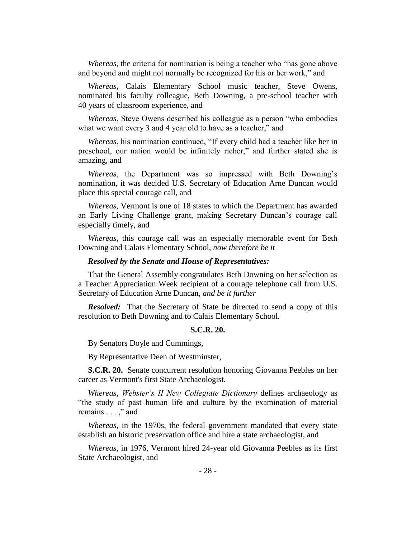*Whereas*, the criteria for nomination is being a teacher who "has gone above and beyond and might not normally be recognized for his or her work," and

*Whereas*, Calais Elementary School music teacher, Steve Owens, nominated his faculty colleague, Beth Downing, a pre-school teacher with 40 years of classroom experience, and

*Whereas*, Steve Owens described his colleague as a person "who embodies what we want every 3 and 4 year old to have as a teacher," and

*Whereas*, his nomination continued, "If every child had a teacher like her in preschool, our nation would be infinitely richer," and further stated she is amazing, and

*Whereas*, the Department was so impressed with Beth Downing's nomination, it was decided U.S. Secretary of Education Arne Duncan would place this special courage call, and

*Whereas*, Vermont is one of 18 states to which the Department has awarded an Early Living Challenge grant, making Secretary Duncan's courage call especially timely, and

*Whereas*, this courage call was an especially memorable event for Beth Downing and Calais Elementary School, *now therefore be it* 

#### *Resolved by the Senate and House of Representatives:*

That the General Assembly congratulates Beth Downing on her selection as a Teacher Appreciation Week recipient of a courage telephone call from U.S. Secretary of Education Arne Duncan, *and be it further*

*Resolved:* That the Secretary of State be directed to send a copy of this resolution to Beth Downing and to Calais Elementary School.

## **S.C.R. 20.**

By Senators Doyle and Cummings,

By Representative Deen of Westminster,

**S.C.R. 20.** Senate concurrent resolution honoring Giovanna Peebles on her career as Vermont's first State Archaeologist.

*Whereas*, *Webster's II New Collegiate Dictionary* defines archaeology as "the study of past human life and culture by the examination of material remains . . . ," and

*Whereas*, in the 1970s, the federal government mandated that every state establish an historic preservation office and hire a state archaeologist, and

*Whereas*, in 1976, Vermont hired 24-year old Giovanna Peebles as its first State Archaeologist, and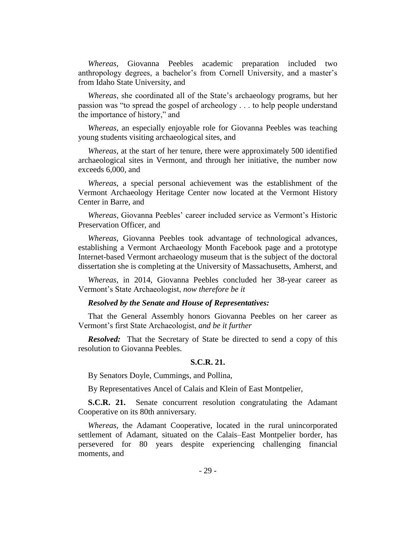*Whereas*, Giovanna Peebles academic preparation included two anthropology degrees, a bachelor's from Cornell University, and a master's from Idaho State University, and

*Whereas*, she coordinated all of the State's archaeology programs, but her passion was "to spread the gospel of archeology . . . to help people understand the importance of history," and

*Whereas*, an especially enjoyable role for Giovanna Peebles was teaching young students visiting archaeological sites, and

*Whereas*, at the start of her tenure, there were approximately 500 identified archaeological sites in Vermont, and through her initiative, the number now exceeds 6,000, and

*Whereas*, a special personal achievement was the establishment of the Vermont Archaeology Heritage Center now located at the Vermont History Center in Barre, and

*Whereas*, Giovanna Peebles' career included service as Vermont's Historic Preservation Officer, and

*Whereas*, Giovanna Peebles took advantage of technological advances, establishing a Vermont Archaeology Month Facebook page and a prototype Internet-based Vermont archaeology museum that is the subject of the doctoral dissertation she is completing at the University of Massachusetts, Amherst, and

*Whereas*, in 2014, Giovanna Peebles concluded her 38-year career as Vermont's State Archaeologist, *now therefore be it* 

## *Resolved by the Senate and House of Representatives:*

That the General Assembly honors Giovanna Peebles on her career as Vermont's first State Archaeologist, *and be it further* 

*Resolved:* That the Secretary of State be directed to send a copy of this resolution to Giovanna Peebles.

#### **S.C.R. 21.**

By Senators Doyle, Cummings, and Pollina,

By Representatives Ancel of Calais and Klein of East Montpelier,

**S.C.R. 21.** Senate concurrent resolution congratulating the Adamant Cooperative on its 80th anniversary.

*Whereas*, the Adamant Cooperative, located in the rural unincorporated settlement of Adamant, situated on the Calais–East Montpelier border, has persevered for 80 years despite experiencing challenging financial moments, and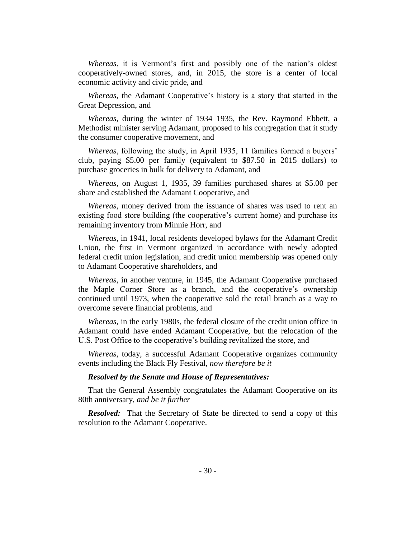*Whereas*, it is Vermont's first and possibly one of the nation's oldest cooperatively-owned stores, and, in 2015, the store is a center of local economic activity and civic pride, and

*Whereas*, the Adamant Cooperative's history is a story that started in the Great Depression, and

*Whereas*, during the winter of 1934–1935, the Rev. Raymond Ebbett, a Methodist minister serving Adamant, proposed to his congregation that it study the consumer cooperative movement, and

*Whereas*, following the study, in April 1935, 11 families formed a buyers' club, paying \$5.00 per family (equivalent to \$87.50 in 2015 dollars) to purchase groceries in bulk for delivery to Adamant, and

*Whereas*, on August 1, 1935, 39 families purchased shares at \$5.00 per share and established the Adamant Cooperative, and

*Whereas*, money derived from the issuance of shares was used to rent an existing food store building (the cooperative's current home) and purchase its remaining inventory from Minnie Horr, and

*Whereas*, in 1941, local residents developed bylaws for the Adamant Credit Union, the first in Vermont organized in accordance with newly adopted federal credit union legislation, and credit union membership was opened only to Adamant Cooperative shareholders, and

*Whereas*, in another venture, in 1945, the Adamant Cooperative purchased the Maple Corner Store as a branch, and the cooperative's ownership continued until 1973, when the cooperative sold the retail branch as a way to overcome severe financial problems, and

*Whereas*, in the early 1980s, the federal closure of the credit union office in Adamant could have ended Adamant Cooperative, but the relocation of the U.S. Post Office to the cooperative's building revitalized the store, and

*Whereas*, today, a successful Adamant Cooperative organizes community events including the Black Fly Festival, *now therefore be it* 

#### *Resolved by the Senate and House of Representatives:*

That the General Assembly congratulates the Adamant Cooperative on its 80th anniversary, *and be it further*

*Resolved:* That the Secretary of State be directed to send a copy of this resolution to the Adamant Cooperative.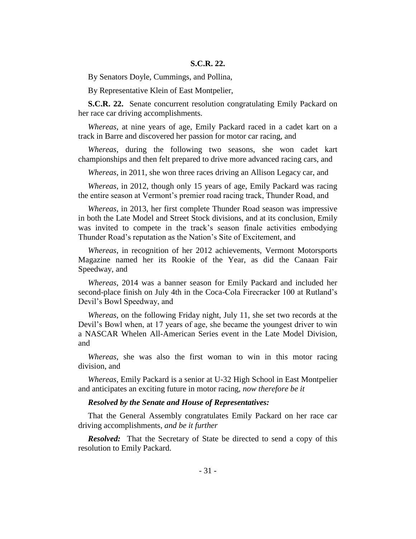## **S.C.R. 22.**

By Senators Doyle, Cummings, and Pollina,

By Representative Klein of East Montpelier,

**S.C.R. 22.** Senate concurrent resolution congratulating Emily Packard on her race car driving accomplishments.

*Whereas*, at nine years of age, Emily Packard raced in a cadet kart on a track in Barre and discovered her passion for motor car racing, and

*Whereas*, during the following two seasons, she won cadet kart championships and then felt prepared to drive more advanced racing cars, and

*Whereas*, in 2011, she won three races driving an Allison Legacy car, and

*Whereas*, in 2012, though only 15 years of age, Emily Packard was racing the entire season at Vermont's premier road racing track, Thunder Road, and

*Whereas*, in 2013, her first complete Thunder Road season was impressive in both the Late Model and Street Stock divisions, and at its conclusion, Emily was invited to compete in the track's season finale activities embodying Thunder Road's reputation as the Nation's Site of Excitement, and

*Whereas*, in recognition of her 2012 achievements, Vermont Motorsports Magazine named her its Rookie of the Year, as did the Canaan Fair Speedway, and

*Whereas*, 2014 was a banner season for Emily Packard and included her second-place finish on July 4th in the Coca-Cola Firecracker 100 at Rutland's Devil's Bowl Speedway, and

*Whereas*, on the following Friday night, July 11, she set two records at the Devil's Bowl when, at 17 years of age, she became the youngest driver to win a NASCAR Whelen All-American Series event in the Late Model Division, and

*Whereas*, she was also the first woman to win in this motor racing division, and

*Whereas*, Emily Packard is a senior at U-32 High School in East Montpelier and anticipates an exciting future in motor racing, *now therefore be it* 

### *Resolved by the Senate and House of Representatives:*

That the General Assembly congratulates Emily Packard on her race car driving accomplishments, *and be it further* 

*Resolved:* That the Secretary of State be directed to send a copy of this resolution to Emily Packard.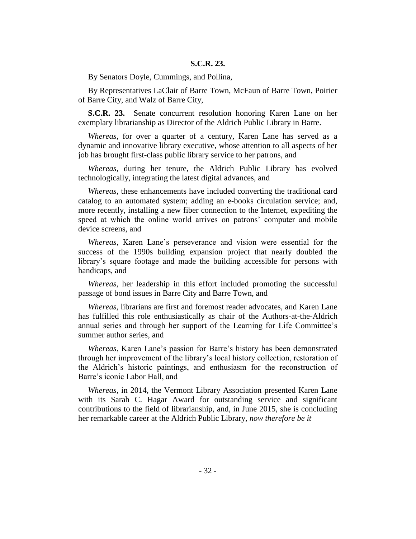## **S.C.R. 23.**

By Senators Doyle, Cummings, and Pollina,

By Representatives LaClair of Barre Town, McFaun of Barre Town, Poirier of Barre City, and Walz of Barre City,

**S.C.R. 23.** Senate concurrent resolution honoring Karen Lane on her exemplary librarianship as Director of the Aldrich Public Library in Barre.

*Whereas*, for over a quarter of a century, Karen Lane has served as a dynamic and innovative library executive, whose attention to all aspects of her job has brought first-class public library service to her patrons, and

*Whereas*, during her tenure, the Aldrich Public Library has evolved technologically, integrating the latest digital advances, and

*Whereas*, these enhancements have included converting the traditional card catalog to an automated system; adding an e-books circulation service; and, more recently, installing a new fiber connection to the Internet, expediting the speed at which the online world arrives on patrons' computer and mobile device screens, and

*Whereas*, Karen Lane's perseverance and vision were essential for the success of the 1990s building expansion project that nearly doubled the library's square footage and made the building accessible for persons with handicaps, and

*Whereas*, her leadership in this effort included promoting the successful passage of bond issues in Barre City and Barre Town, and

*Whereas*, librarians are first and foremost reader advocates, and Karen Lane has fulfilled this role enthusiastically as chair of the Authors-at-the-Aldrich annual series and through her support of the Learning for Life Committee's summer author series, and

*Whereas*, Karen Lane's passion for Barre's history has been demonstrated through her improvement of the library's local history collection, restoration of the Aldrich's historic paintings, and enthusiasm for the reconstruction of Barre's iconic Labor Hall, and

*Whereas*, in 2014, the Vermont Library Association presented Karen Lane with its Sarah C. Hagar Award for outstanding service and significant contributions to the field of librarianship, and, in June 2015, she is concluding her remarkable career at the Aldrich Public Library*, now therefore be it*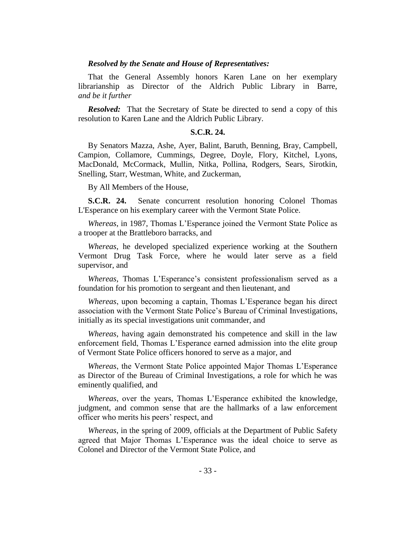### *Resolved by the Senate and House of Representatives:*

That the General Assembly honors Karen Lane on her exemplary librarianship as Director of the Aldrich Public Library in Barre, *and be it further*

*Resolved:* That the Secretary of State be directed to send a copy of this resolution to Karen Lane and the Aldrich Public Library.

## **S.C.R. 24.**

By Senators Mazza, Ashe, Ayer, Balint, Baruth, Benning, Bray, Campbell, Campion, Collamore, Cummings, Degree, Doyle, Flory, Kitchel, Lyons, MacDonald, McCormack, Mullin, Nitka, Pollina, Rodgers, Sears, Sirotkin, Snelling, Starr, Westman, White, and Zuckerman,

By All Members of the House,

**S.C.R. 24.** Senate concurrent resolution honoring Colonel Thomas L'Esperance on his exemplary career with the Vermont State Police.

*Whereas*, in 1987, Thomas L'Esperance joined the Vermont State Police as a trooper at the Brattleboro barracks, and

*Whereas*, he developed specialized experience working at the Southern Vermont Drug Task Force, where he would later serve as a field supervisor, and

*Whereas*, Thomas L'Esperance's consistent professionalism served as a foundation for his promotion to sergeant and then lieutenant, and

*Whereas*, upon becoming a captain, Thomas L'Esperance began his direct association with the Vermont State Police's Bureau of Criminal Investigations, initially as its special investigations unit commander, and

*Whereas*, having again demonstrated his competence and skill in the law enforcement field, Thomas L'Esperance earned admission into the elite group of Vermont State Police officers honored to serve as a major, and

*Whereas*, the Vermont State Police appointed Major Thomas L'Esperance as Director of the Bureau of Criminal Investigations, a role for which he was eminently qualified, and

*Whereas*, over the years, Thomas L'Esperance exhibited the knowledge, judgment, and common sense that are the hallmarks of a law enforcement officer who merits his peers' respect, and

*Whereas*, in the spring of 2009, officials at the Department of Public Safety agreed that Major Thomas L'Esperance was the ideal choice to serve as Colonel and Director of the Vermont State Police, and